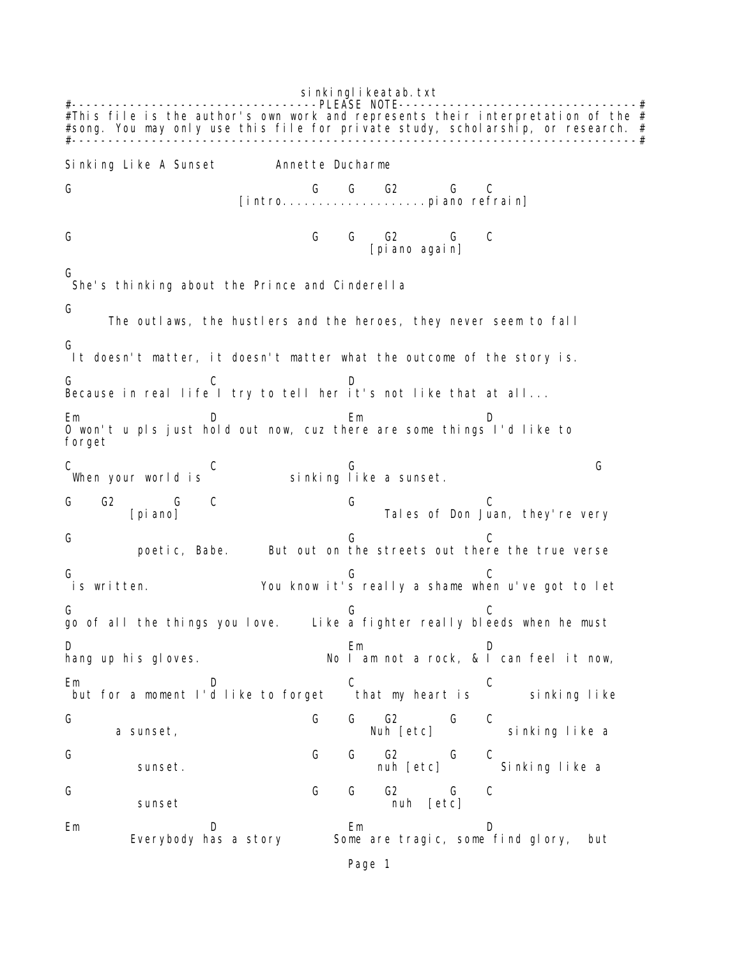sinkinglikeatab.txt ----------------------PLEASE NOTE---------#This file is the author's own work and represents their interpretation of the  $#$ #song. You may only use this file for private study, scholarship, or research. # #------------------------------------------------------------------------------# Sinking Like A Sunset Annette Ducharme G G G G2 G C [intro....................piano refrain] G G G G2 G C [pi ano again] G She's thinking about the Prince and Cinderella G The outlaws, the hustlers and the heroes, they never seem to fall G It doesn't matter, it doesn't matter what the outcome of the story is. G D Because in real life I try to tell her it's not like that at all... Em D Em D O won't u pls just hold out now, cuz there are some things I'd like to forget  $C$  and  $C$  is the contract of the contract of the contract of the contract of the contract of the contract of the contract of the contract of the contract of the contract of the contract of the contract of the contract o When your world is  $\frac{1}{2}$  sinking like a sunset. G G2 G C G C [piano] Tales of Don Juan, they're very G G C poetic, Babe. But out on the streets out there the true verse G GO CONTROL CONTROL CONTROL CONTROL CONTROL CONTROL CONTROL CONTROL CONTROL CONTROL CONTROL CONTROL CONTROL CONTROL CONTROL CONTROL CONTROL CONTROL CONTROL CONTROL CONTROL CONTROL CONTROL CONTROL CONTROL CONTROL CONTROL C is written. You know it's really a shame when u've got to let G GO CONTROL CONTROL CONTROL CONTROL CONTROL CONTROL CONTROL CONTROL CONTROL CONTROL CONTROL CONTROL CONTROL CONTROL CONTROL CONTROL CONTROL CONTROL CONTROL CONTROL CONTROL CONTROL CONTROL CONTROL CONTROL CONTROL CONTROL C go of all the things you love. Like a fighter really bleeds when he must D D **Em** D hang up his gloves.  $\overline{\hspace{1cm}}$  No I am not a rock, & I can feel it now, Em D C C but for a moment I'd like to forget that my heart is sinking like G G G G2 G C a sunset, the contract of the set of the Nuh [etc] the sinking like a G G G G2 G C sunset. The sunset of the sunset of the sunset of the sunset of the sunset of the sunset of the sunset of the sunset of the sunset of the sunset of the sunset of the sunset of the sunset of the sunset of the sunset of the G G G G2 G C sunset nuh [etc] Em D Em D Everybody has a story Some are tragic, some find glory, but